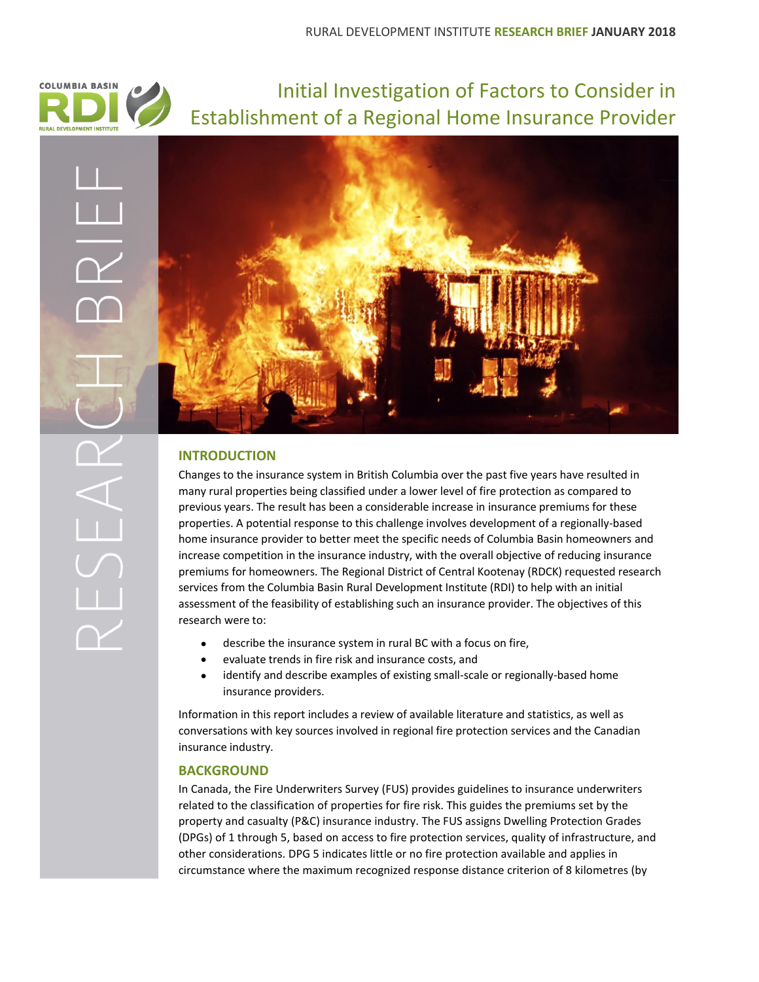

Initial Investigation of Factors to Consider in Establishment of a Regional Home Insurance Provider



# **INTRODUCTION**

Changes to the insurance system in British Columbia over the past five years have resulted in many rural properties being classified under a lower level of fire protection as compared to previous years. The result has been a considerable increase in insurance premiums for these properties. A potential response to this challenge involves development of a regionally-based home insurance provider to better meet the specific needs of Columbia Basin homeowners and increase competition in the insurance industry, with the overall objective of reducing insurance premiums for homeowners. The Regional District of Central Kootenay (RDCK) requested research services from the Columbia Basin Rural Development Institute (RDI) to help with an initial assessment of the feasibility of establishing such an insurance provider. The objectives of this research were to:

- describe the insurance system in rural BC with a focus on fire,
- evaluate trends in fire risk and insurance costs, and
- identify and describe examples of existing small-scale or regionally-based home insurance providers.

Information in this report includes a review of available literature and statistics, as well as conversations with key sources involved in regional fire protection services and the Canadian insurance industry.

# **BACKGROUND**

In Canada, the Fire Underwriters Survey (FUS) provides guidelines to insurance underwriters related to the classification of properties for fire risk. This guides the premiums set by the property and casualty (P&C) insurance industry. The FUS assigns Dwelling Protection Grades (DPGs) of 1 through 5, based on access to fire protection services, quality of infrastructure, and other considerations. DPG 5 indicates little or no fire protection available and applies in circumstance where the maximum recognized response distance criterion of 8 kilometres (by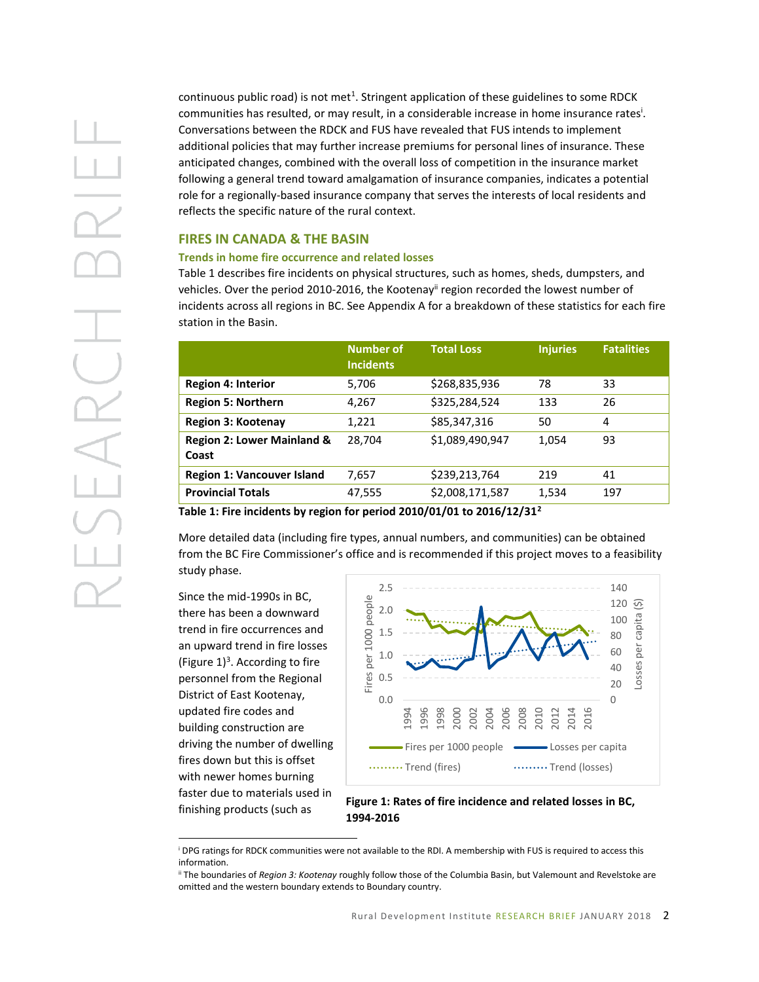continuous public road) is not met<sup>1</sup>. Stringent application of these guidelines to some RDCK communities has resulted, or may result, in a considerable increase in home insurance rates<sup>i</sup>. Conversations between the RDCK and FUS have revealed that FUS intends to implement additional policies that may further increase premiums for personal lines of insurance. These anticipated changes, combined with the overall loss of competition in the insurance market following a general trend toward amalgamation of insurance companies, indicates a potential role for a regionally-based insurance company that serves the interests of local residents and reflects the specific nature of the rural context.

## **FIRES IN CANADA & THE BASIN**

#### **Trends in home fire occurrence and related losses**

Table 1 describes fire incidents on physical structures, such as homes, sheds, dumpsters, and vehicles. Over the period 2010-2016, the Kootenay<sup>ii</sup> region recorded the lowest number of incidents across all regions in BC. See Appendix A for a breakdown of these statistics for each fire station in the Basin.

|                                                | <b>Number of</b><br><b>Incidents</b> | <b>Total Loss</b> | <b>Injuries</b> | <b>Fatalities</b> |
|------------------------------------------------|--------------------------------------|-------------------|-----------------|-------------------|
| <b>Region 4: Interior</b>                      | 5,706                                | \$268,835,936     | 78              | 33                |
| <b>Region 5: Northern</b>                      | 4,267                                | \$325,284,524     | 133             | 26                |
| <b>Region 3: Kootenay</b>                      | 1,221                                | \$85,347,316      | 50              | 4                 |
| <b>Region 2: Lower Mainland &amp;</b><br>Coast | 28,704                               | \$1,089,490,947   | 1,054           | 93                |
| <b>Region 1: Vancouver Island</b>              | 7,657                                | \$239,213,764     | 219             | 41                |
| <b>Provincial Totals</b>                       | 47,555                               | \$2,008,171,587   | 1,534           | 197               |

**Table 1: Fire incidents by region for period 2010/01/01 to 2016/12/31<sup>2</sup>**

More detailed data (including fire types, annual numbers, and communities) can be obtained from the BC Fire Commissioner's office and is recommended if this project moves to a feasibility study phase.

Since the mid-1990s in BC, there has been a downward trend in fire occurrences and an upward trend in fire losses (Figure  $1$ )<sup>3</sup>. According to fire personnel from the Regional District of East Kootenay, updated fire codes and building construction are driving the number of dwelling fires down but this is offset with newer homes burning faster due to materials used in finishing products (such as

 $\overline{a}$ 



## **Figure 1: Rates of fire incidence and related losses in BC, 1994-2016**

<sup>i</sup> DPG ratings for RDCK communities were not available to the RDI. A membership with FUS is required to access this information.

ii The boundaries of *Region 3: Kootenay* roughly follow those of the Columbia Basin, but Valemount and Revelstoke are omitted and the western boundary extends to Boundary country.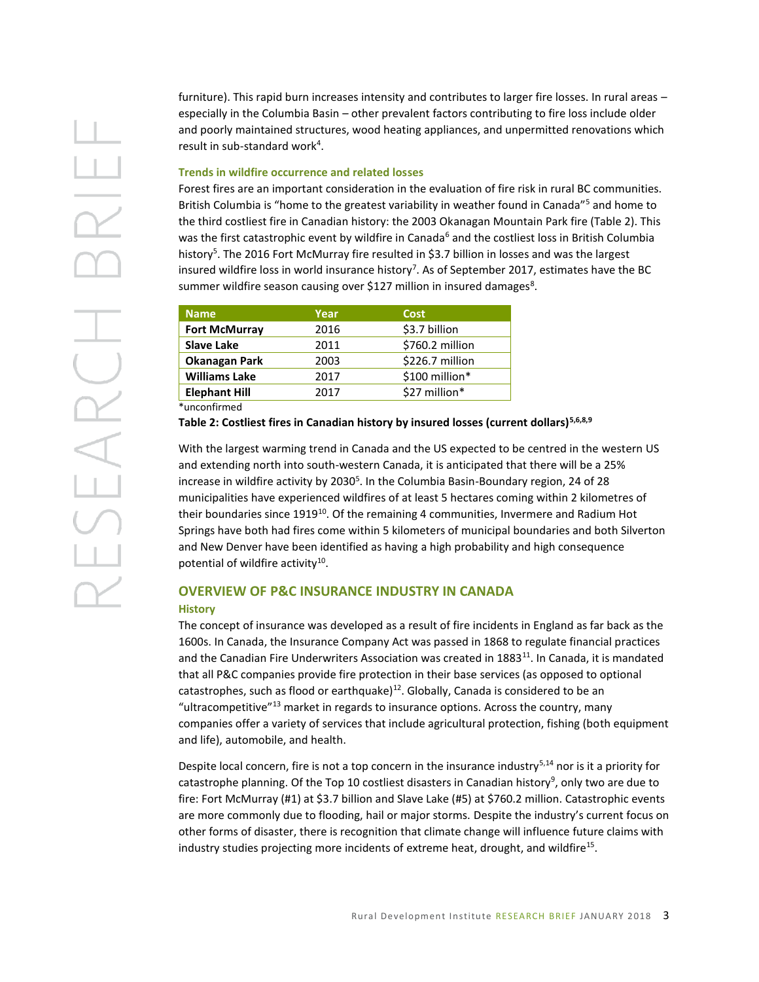furniture). This rapid burn increases intensity and contributes to larger fire losses. In rural areas – especially in the Columbia Basin – other prevalent factors contributing to fire loss include older and poorly maintained structures, wood heating appliances, and unpermitted renovations which result in sub-standard work<sup>4</sup>.

## **Trends in wildfire occurrence and related losses**

Forest fires are an important consideration in the evaluation of fire risk in rural BC communities. British Columbia is "home to the greatest variability in weather found in Canada"<sup>5</sup> and home to the third costliest fire in Canadian history: the 2003 Okanagan Mountain Park fire (Table 2). This was the first catastrophic event by wildfire in Canada<sup>6</sup> and the costliest loss in British Columbia history<sup>5</sup>. The 2016 Fort McMurray fire resulted in \$3.7 billion in losses and was the largest insured wildfire loss in world insurance history<sup>7</sup>. As of September 2017, estimates have the BC summer wildfire season causing over \$127 million in insured damages<sup>8</sup>.

| <b>Name</b>          | Year | <b>Cost</b>     |
|----------------------|------|-----------------|
| <b>Fort McMurray</b> | 2016 | \$3.7 billion   |
| <b>Slave Lake</b>    | 2011 | \$760.2 million |
| <b>Okanagan Park</b> | 2003 | \$226.7 million |
| <b>Williams Lake</b> | 2017 | \$100 million*  |
| <b>Elephant Hill</b> | 2017 | \$27 million*   |
| $*$ unconfirmed $*$  |      |                 |

**Table 2: Costliest fires in Canadian history by insured losses (current dollars)5,6,8,9**

With the largest warming trend in Canada and the US expected to be centred in the western US and extending north into south-western Canada, it is anticipated that there will be a 25% increase in wildfire activity by 2030<sup>5</sup>. In the Columbia Basin-Boundary region, 24 of 28 municipalities have experienced wildfires of at least 5 hectares coming within 2 kilometres of their boundaries since  $1919^{10}$ . Of the remaining 4 communities, Invermere and Radium Hot Springs have both had fires come within 5 kilometers of municipal boundaries and both Silverton and New Denver have been identified as having a high probability and high consequence potential of wildfire activity<sup>10</sup>.

# **OVERVIEW OF P&C INSURANCE INDUSTRY IN CANADA History**

The concept of insurance was developed as a result of fire incidents in England as far back as the 1600s. In Canada, the Insurance Company Act was passed in 1868 to regulate financial practices and the Canadian Fire Underwriters Association was created in 1883<sup>11</sup>. In Canada, it is mandated that all P&C companies provide fire protection in their base services (as opposed to optional catastrophes, such as flood or earthquake)<sup>12</sup>. Globally, Canada is considered to be an "ultracompetitive"<sup>13</sup> market in regards to insurance options. Across the country, many companies offer a variety of services that include agricultural protection, fishing (both equipment and life), automobile, and health.

Despite local concern, fire is not a top concern in the insurance industry<sup>5,14</sup> nor is it a priority for catastrophe planning. Of the Top 10 costliest disasters in Canadian history<sup>9</sup>, only two are due to fire: Fort McMurray (#1) at \$3.7 billion and Slave Lake (#5) at \$760.2 million. Catastrophic events are more commonly due to flooding, hail or major storms. Despite the industry's current focus on other forms of disaster, there is recognition that climate change will influence future claims with industry studies projecting more incidents of extreme heat, drought, and wildfire<sup>15</sup>.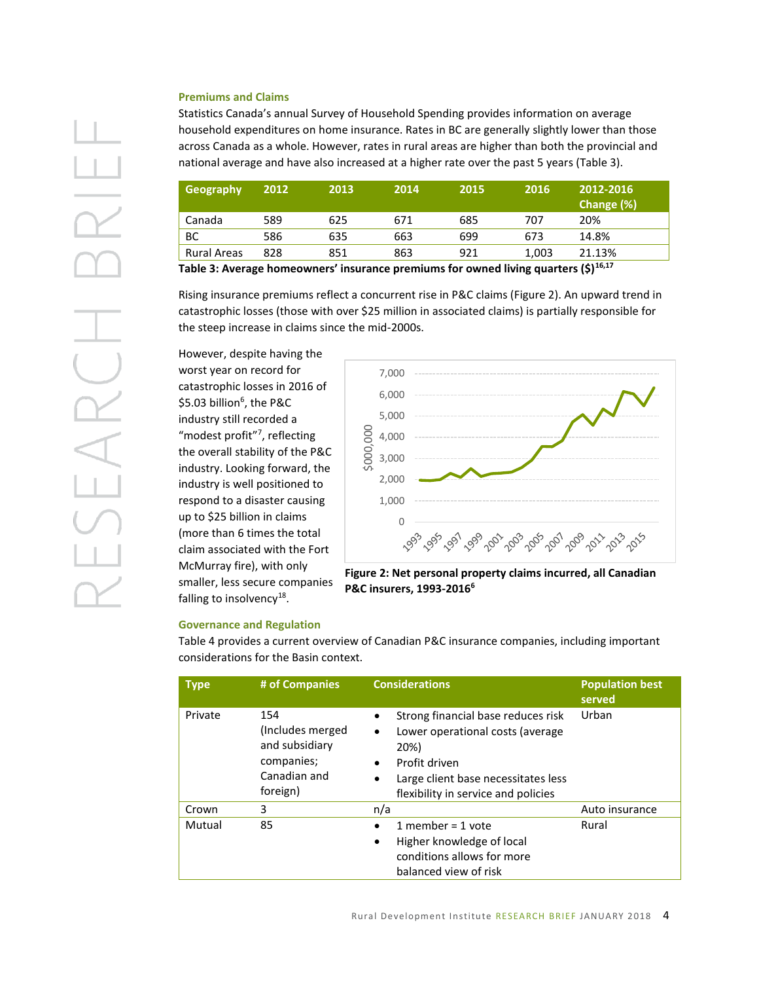## **Premiums and Claims**

Statistics Canada's annual Survey of Household Spending provides information on average household expenditures on home insurance. Rates in BC are generally slightly lower than those across Canada as a whole. However, rates in rural areas are higher than both the provincial and national average and have also increased at a higher rate over the past 5 years (Table 3).

| Geography          | 2012 | 2013 | 2014 | 2015 | 2016  | 2012-2016<br>Change (%) |
|--------------------|------|------|------|------|-------|-------------------------|
| Canada             | 589  | 625  | 671  | 685  | 707   | 20%                     |
| BС                 | 586  | 635  | 663  | 699  | 673   | 14.8%                   |
| <b>Rural Areas</b> | 828  | 851  | 863  | 921  | 1,003 | 21.13%                  |

**Table 3: Average homeowners' insurance premiums for owned living quarters (\$)16,17**

Rising insurance premiums reflect a concurrent rise in P&C claims (Figure 2). An upward trend in catastrophic losses (those with over \$25 million in associated claims) is partially responsible for the steep increase in claims since the mid-2000s.

However, despite having the worst year on record for catastrophic losses in 2016 of \$5.03 billion<sup>6</sup> , the P&C industry still recorded a "modest profit"<sup>7</sup>, reflecting the overall stability of the P&C industry. Looking forward, the industry is well positioned to respond to a disaster causing up to \$25 billion in claims (more than 6 times the total claim associated with the Fort McMurray fire), with only smaller, less secure companies falling to insolvency<sup>18</sup>.



**Figure 2: Net personal property claims incurred, all Canadian P&C insurers, 1993-20166**

#### **Governance and Regulation**

Table 4 provides a current overview of Canadian P&C insurance companies, including important considerations for the Basin context.

| <b>Type</b> | # of Companies                                                                      | <b>Considerations</b>                                                                                                                                                                                                             | <b>Population best</b><br>served |
|-------------|-------------------------------------------------------------------------------------|-----------------------------------------------------------------------------------------------------------------------------------------------------------------------------------------------------------------------------------|----------------------------------|
| Private     | 154<br>(Includes merged<br>and subsidiary<br>companies;<br>Canadian and<br>foreign) | Strong financial base reduces risk<br>$\bullet$<br>Lower operational costs (average<br>$\bullet$<br>20%)<br>Profit driven<br>$\bullet$<br>Large client base necessitates less<br>$\bullet$<br>flexibility in service and policies | Urban                            |
| Crown       | 3                                                                                   | n/a                                                                                                                                                                                                                               | Auto insurance                   |
| Mutual      | 85                                                                                  | 1 member = $1$ vote<br>$\bullet$<br>Higher knowledge of local<br>$\bullet$<br>conditions allows for more<br>balanced view of risk                                                                                                 | Rural                            |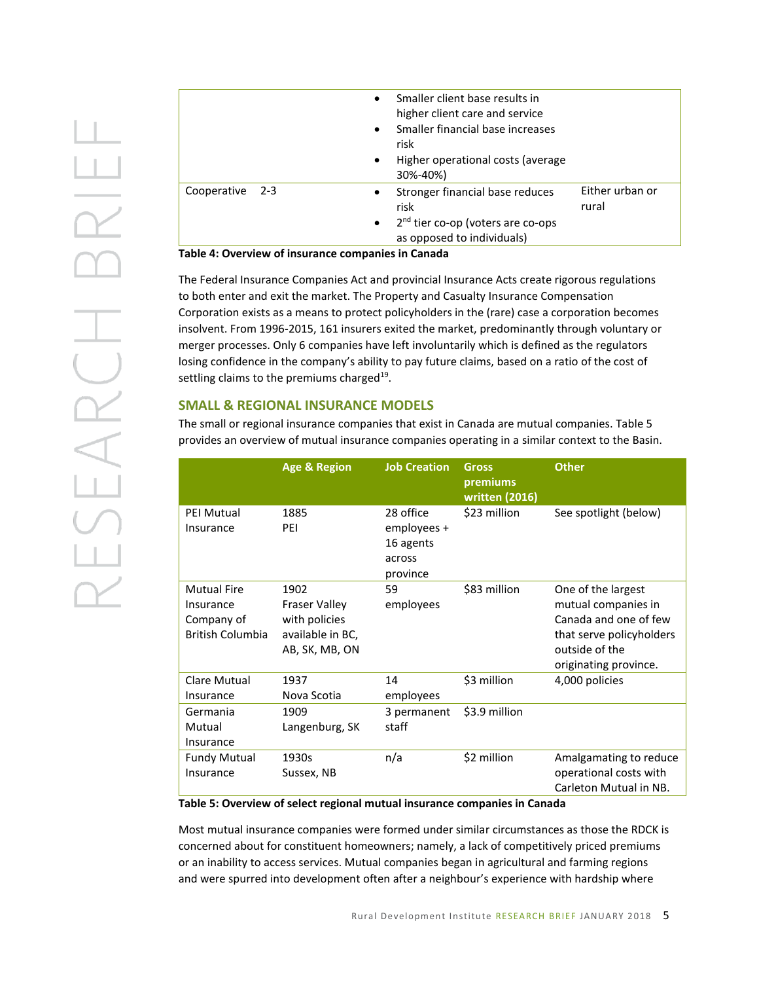|                 | $\bullet$<br>$\bullet$<br>$\bullet$ | Smaller client base results in<br>higher client care and service<br>Smaller financial base increases<br>risk<br>Higher operational costs (average<br>30%-40%) |                          |
|-----------------|-------------------------------------|---------------------------------------------------------------------------------------------------------------------------------------------------------------|--------------------------|
| Cooperative 2-3 | $\bullet$<br>$\bullet$              | Stronger financial base reduces<br>risk<br>2 <sup>nd</sup> tier co-op (voters are co-ops<br>as opposed to individuals)                                        | Either urban or<br>rural |
| - - - - - - -   |                                     |                                                                                                                                                               |                          |

**Table 4: Overview of insurance companies in Canada** 

The Federal Insurance Companies Act and provincial Insurance Acts create rigorous regulations to both enter and exit the market. The Property and Casualty Insurance Compensation Corporation exists as a means to protect policyholders in the (rare) case a corporation becomes insolvent. From 1996-2015, 161 insurers exited the market, predominantly through voluntary or merger processes. Only 6 companies have left involuntarily which is defined as the regulators losing confidence in the company's ability to pay future claims, based on a ratio of the cost of settling claims to the premiums charged<sup>19</sup>.

# **SMALL & REGIONAL INSURANCE MODELS**

The small or regional insurance companies that exist in Canada are mutual companies. Table 5 provides an overview of mutual insurance companies operating in a similar context to the Basin.

|                                                                          | <b>Age &amp; Region</b>                                                             | <b>Job Creation</b>                                         | Gross<br>premiums<br>written (2016) | <b>Other</b>                                                                                                                              |
|--------------------------------------------------------------------------|-------------------------------------------------------------------------------------|-------------------------------------------------------------|-------------------------------------|-------------------------------------------------------------------------------------------------------------------------------------------|
| <b>PEI Mutual</b><br>Insurance                                           | 1885<br>PEI                                                                         | 28 office<br>employees +<br>16 agents<br>across<br>province | \$23 million                        | See spotlight (below)                                                                                                                     |
| <b>Mutual Fire</b><br>Insurance<br>Company of<br><b>British Columbia</b> | 1902<br><b>Fraser Valley</b><br>with policies<br>available in BC,<br>AB, SK, MB, ON | 59<br>employees                                             | \$83 million                        | One of the largest<br>mutual companies in<br>Canada and one of few<br>that serve policyholders<br>outside of the<br>originating province. |
| Clare Mutual<br>Insurance                                                | 1937<br>Nova Scotia                                                                 | 14<br>employees                                             | \$3 million                         | 4,000 policies                                                                                                                            |
| Germania<br>Mutual<br>Insurance                                          | 1909<br>Langenburg, SK                                                              | 3 permanent<br>staff                                        | \$3.9 million                       |                                                                                                                                           |
| <b>Fundy Mutual</b><br>Insurance                                         | 1930s<br>Sussex, NB                                                                 | n/a                                                         | \$2 million                         | Amalgamating to reduce<br>operational costs with<br>Carleton Mutual in NB.                                                                |

**Table 5: Overview of select regional mutual insurance companies in Canada**

Most mutual insurance companies were formed under similar circumstances as those the RDCK is concerned about for constituent homeowners; namely, a lack of competitively priced premiums or an inability to access services. Mutual companies began in agricultural and farming regions and were spurred into development often after a neighbour's experience with hardship where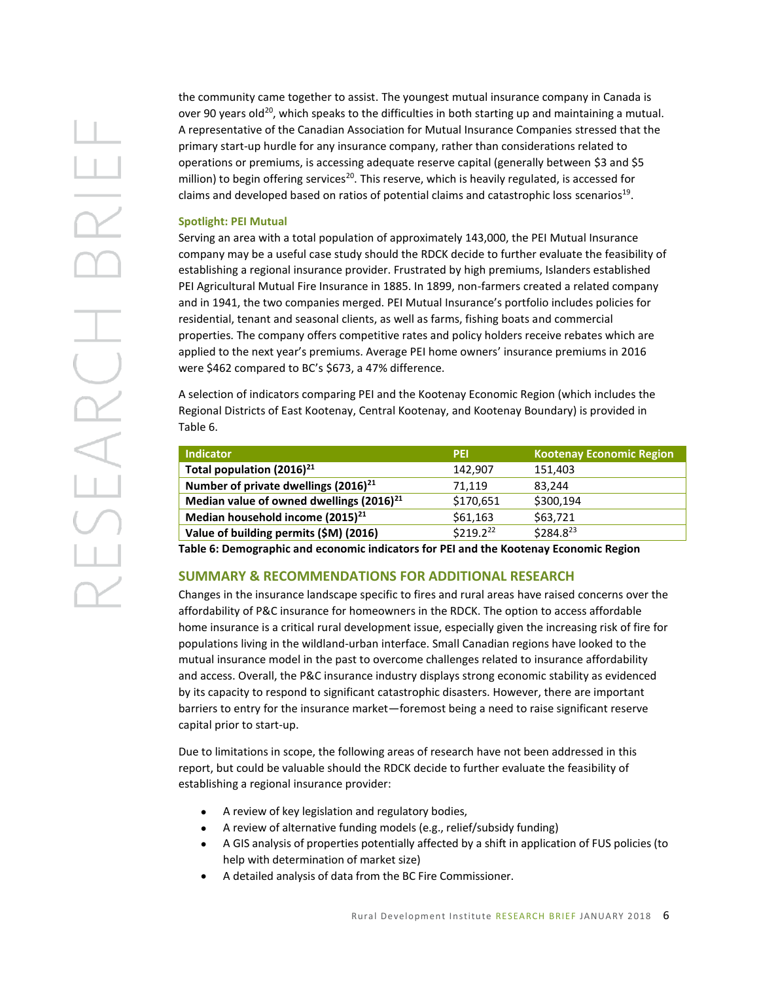the community came together to assist. The youngest mutual insurance company in Canada is over 90 years old<sup>20</sup>, which speaks to the difficulties in both starting up and maintaining a mutual. A representative of the Canadian Association for Mutual Insurance Companies stressed that the primary start-up hurdle for any insurance company, rather than considerations related to operations or premiums, is accessing adequate reserve capital (generally between \$3 and \$5 million) to begin offering services<sup>20</sup>. This reserve, which is heavily regulated, is accessed for claims and developed based on ratios of potential claims and catastrophic loss scenarios<sup>19</sup>.

## **Spotlight: PEI Mutual**

Serving an area with a total population of approximately 143,000, the PEI Mutual Insurance company may be a useful case study should the RDCK decide to further evaluate the feasibility of establishing a regional insurance provider. Frustrated by high premiums, Islanders established PEI Agricultural Mutual Fire Insurance in 1885. In 1899, non-farmers created a related company and in 1941, the two companies merged. PEI Mutual Insurance's portfolio includes policies for residential, tenant and seasonal clients, as well as farms, fishing boats and commercial properties. The company offers competitive rates and policy holders receive rebates which are applied to the next year's premiums. Average PEI home owners' insurance premiums in 2016 were \$462 compared to BC's \$673, a 47% difference.

A selection of indicators comparing PEI and the Kootenay Economic Region (which includes the Regional Districts of East Kootenay, Central Kootenay, and Kootenay Boundary) is provided in Table 6.

| <b>Indicator</b>                                 | <b>PEI</b> | <b>Kootenay Economic Region</b> |
|--------------------------------------------------|------------|---------------------------------|
| Total population $(2016)^{21}$                   | 142,907    | 151,403                         |
| Number of private dwellings (2016) <sup>21</sup> | 71.119     | 83.244                          |
| Median value of owned dwellings $(2016)^{21}$    | \$170,651  | \$300,194                       |
| Median household income $(2015)^{21}$            | \$61,163   | \$63,721                        |
| Value of building permits (\$M) (2016)           | \$219.222  | $$284.8^{23}$                   |

**Table 6: Demographic and economic indicators for PEI and the Kootenay Economic Region**

# **SUMMARY & RECOMMENDATIONS FOR ADDITIONAL RESEARCH**

Changes in the insurance landscape specific to fires and rural areas have raised concerns over the affordability of P&C insurance for homeowners in the RDCK. The option to access affordable home insurance is a critical rural development issue, especially given the increasing risk of fire for populations living in the wildland-urban interface. Small Canadian regions have looked to the mutual insurance model in the past to overcome challenges related to insurance affordability and access. Overall, the P&C insurance industry displays strong economic stability as evidenced by its capacity to respond to significant catastrophic disasters. However, there are important barriers to entry for the insurance market—foremost being a need to raise significant reserve capital prior to start-up.

Due to limitations in scope, the following areas of research have not been addressed in this report, but could be valuable should the RDCK decide to further evaluate the feasibility of establishing a regional insurance provider:

- A review of key legislation and regulatory bodies,
- A review of alternative funding models (e.g., relief/subsidy funding)
- A GIS analysis of properties potentially affected by a shift in application of FUS policies (to help with determination of market size)
- A detailed analysis of data from the BC Fire Commissioner.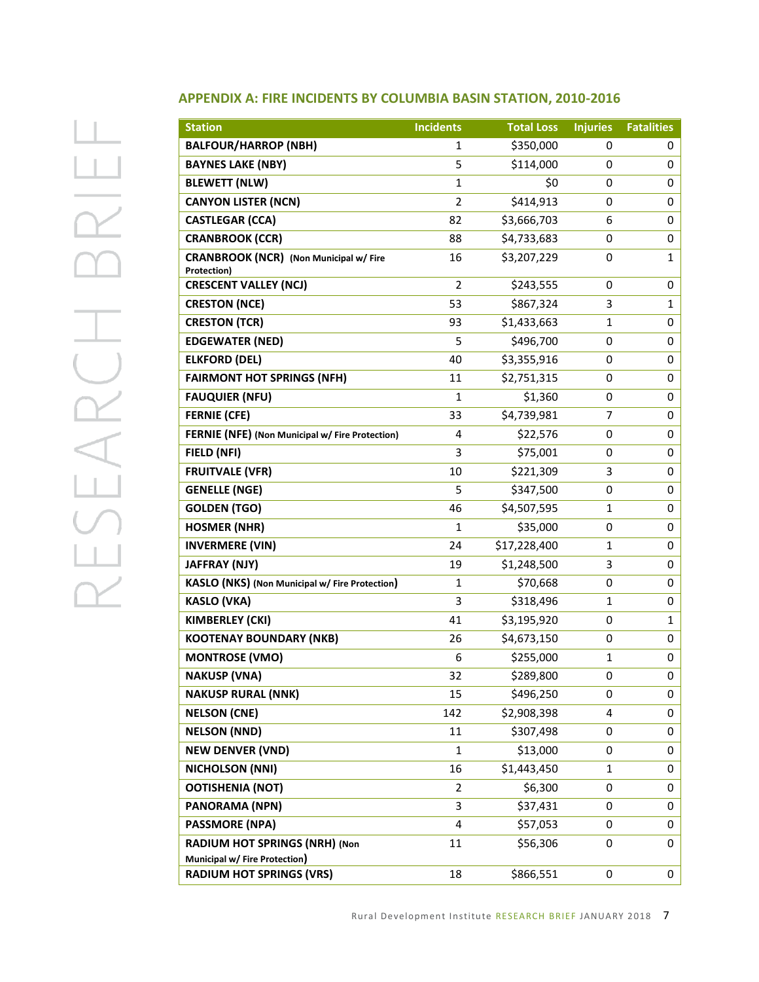# $\perp$  $\Box$  $\frac{1}{\sqrt{2}}$ PSEARCH

| <b>Station</b>                                               | <b>Incidents</b> | <b>Total Loss</b> | <b>Injuries</b> | <b>Fatalities</b> |
|--------------------------------------------------------------|------------------|-------------------|-----------------|-------------------|
| <b>BALFOUR/HARROP (NBH)</b>                                  | 1                | \$350,000         | 0               | 0                 |
| <b>BAYNES LAKE (NBY)</b>                                     | 5                | \$114,000         | 0               | 0                 |
| <b>BLEWETT (NLW)</b>                                         | $\mathbf{1}$     | \$0               | 0               | 0                 |
| <b>CANYON LISTER (NCN)</b>                                   | $\overline{2}$   | \$414,913         | 0               | 0                 |
| <b>CASTLEGAR (CCA)</b>                                       | 82               | \$3,666,703       | 6               | 0                 |
| <b>CRANBROOK (CCR)</b>                                       | 88               | \$4,733,683       | 0               | 0                 |
| <b>CRANBROOK (NCR)</b> (Non Municipal w/ Fire<br>Protection) | 16               | \$3,207,229       | 0               | 1                 |
| <b>CRESCENT VALLEY (NCJ)</b>                                 | $\overline{2}$   | \$243,555         | 0               | 0                 |
| <b>CRESTON (NCE)</b>                                         | 53               | \$867,324         | 3               | 1                 |
| <b>CRESTON (TCR)</b>                                         | 93               | \$1,433,663       | 1               | 0                 |
| <b>EDGEWATER (NED)</b>                                       | 5                | \$496,700         | 0               | 0                 |
| <b>ELKFORD (DEL)</b>                                         | 40               | \$3,355,916       | 0               | 0                 |
| <b>FAIRMONT HOT SPRINGS (NFH)</b>                            | 11               | \$2,751,315       | 0               | 0                 |
| <b>FAUQUIER (NFU)</b>                                        | $\mathbf{1}$     | \$1,360           | 0               | 0                 |
| <b>FERNIE (CFE)</b>                                          | 33               | \$4,739,981       | 7               | 0                 |
| FERNIE (NFE) (Non Municipal w/ Fire Protection)              | 4                | \$22,576          | 0               | 0                 |
| FIELD (NFI)                                                  | 3                | \$75,001          | 0               | 0                 |
| <b>FRUITVALE (VFR)</b>                                       | 10               | \$221,309         | 3               | 0                 |
| <b>GENELLE (NGE)</b>                                         | 5                | \$347,500         | 0               | 0                 |
| <b>GOLDEN (TGO)</b>                                          | 46               | \$4,507,595       | 1               | 0                 |
| <b>HOSMER (NHR)</b>                                          | 1                | \$35,000          | 0               | 0                 |
| <b>INVERMERE (VIN)</b>                                       | 24               | \$17,228,400      | 1               | 0                 |
| JAFFRAY (NJY)                                                | 19               | \$1,248,500       | 3               | 0                 |
| KASLO (NKS) (Non Municipal w/ Fire Protection)               | 1                | \$70,668          | 0               | 0                 |
| <b>KASLO (VKA)</b>                                           | 3                | \$318,496         | 1               | 0                 |
| KIMBERLEY (CKI)                                              | 41               | \$3,195,920       | 0               | 1                 |
| <b>KOOTENAY BOUNDARY (NKB)</b>                               | 26               | \$4,673,150       | 0               | 0                 |
| <b>MONTROSE (VMO)</b>                                        | 6                | \$255,000         | 1               | 0                 |
| <b>NAKUSP (VNA)</b>                                          | 32               | \$289,800         | U               | 0                 |
| <b>NAKUSP RURAL (NNK)</b>                                    | 15               | \$496,250         | 0               | 0                 |
| <b>NELSON (CNE)</b>                                          | 142              | \$2,908,398       | 4               | 0                 |
| <b>NELSON (NND)</b>                                          | 11               | \$307,498         | 0               | 0                 |
| <b>NEW DENVER (VND)</b>                                      | 1                | \$13,000          | 0               | 0                 |
| <b>NICHOLSON (NNI)</b>                                       | 16               | \$1,443,450       | 1               | 0                 |
| <b>OOTISHENIA (NOT)</b>                                      | 2                | \$6,300           | 0               | 0                 |
| <b>PANORAMA (NPN)</b>                                        | 3                | \$37,431          | 0               | 0                 |
| <b>PASSMORE (NPA)</b>                                        | 4                | \$57,053          | 0               | 0                 |
| RADIUM HOT SPRINGS (NRH) (Non                                | 11               | \$56,306          | 0               | 0                 |
| Municipal w/ Fire Protection)                                |                  |                   |                 |                   |
| <b>RADIUM HOT SPRINGS (VRS)</b>                              | 18               | \$866,551         | 0               | 0                 |

# **APPENDIX A: FIRE INCIDENTS BY COLUMBIA BASIN STATION, 2010-2016**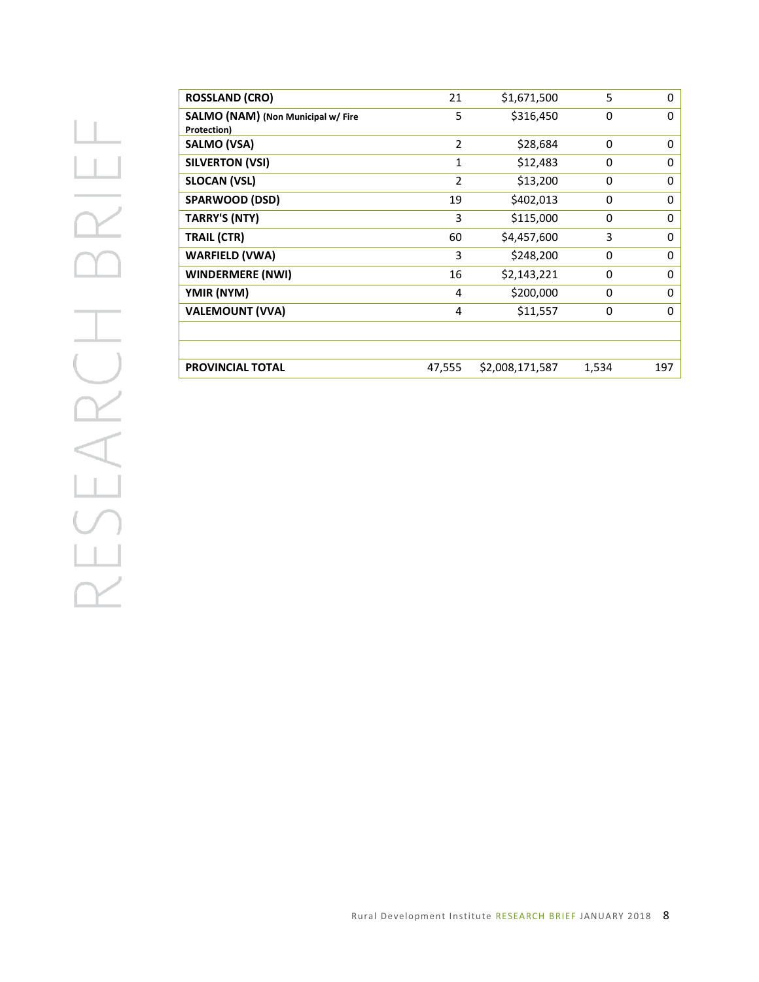| <b>ROSSLAND (CRO)</b>              | 21             | \$1,671,500     | 5     | 0   |
|------------------------------------|----------------|-----------------|-------|-----|
| SALMO (NAM) (Non Municipal w/ Fire | 5              | \$316,450       | 0     | 0   |
| Protection)                        |                |                 |       |     |
| <b>SALMO (VSA)</b>                 | $\overline{2}$ | \$28,684        | 0     | 0   |
| <b>SILVERTON (VSI)</b>             | 1              | \$12,483        | 0     | 0   |
| <b>SLOCAN (VSL)</b>                | $\overline{2}$ | \$13,200        | 0     | 0   |
| SPARWOOD (DSD)                     | 19             | \$402,013       | 0     | 0   |
| <b>TARRY'S (NTY)</b>               | 3              | \$115,000       | 0     | 0   |
| <b>TRAIL (CTR)</b>                 | 60             | \$4,457,600     | 3     | 0   |
| <b>WARFIELD (VWA)</b>              | 3              | \$248,200       | 0     | 0   |
| <b>WINDERMERE (NWI)</b>            | 16             | \$2,143,221     | 0     | 0   |
| YMIR (NYM)                         | 4              | \$200,000       | 0     | 0   |
| <b>VALEMOUNT (VVA)</b>             | 4              | \$11,557        | 0     | 0   |
|                                    |                |                 |       |     |
|                                    |                |                 |       |     |
| <b>PROVINCIAL TOTAL</b>            | 47,555         | \$2,008,171,587 | 1,534 | 197 |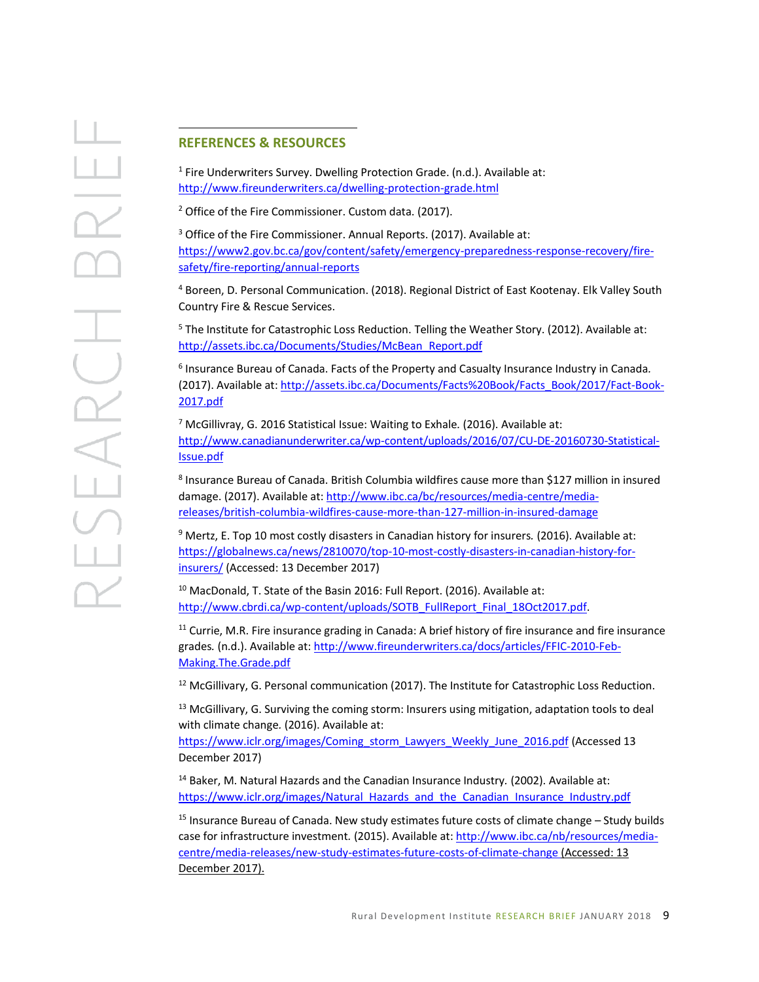## **REFERENCES & RESOURCES**

 $\overline{a}$ 

<sup>1</sup> Fire Underwriters Survey. Dwelling Protection Grade. (n.d.). Available at: <http://www.fireunderwriters.ca/dwelling-protection-grade.html>

<sup>2</sup> Office of the Fire Commissioner. Custom data. (2017).

<sup>3</sup> Office of the Fire Commissioner. Annual Reports. (2017). Available at: [https://www2.gov.bc.ca/gov/content/safety/emergency-preparedness-response-recovery/fire](https://www2.gov.bc.ca/gov/content/safety/emergency-preparedness-response-recovery/fire-safety/fire-reporting/annual-reports)[safety/fire-reporting/annual-reports](https://www2.gov.bc.ca/gov/content/safety/emergency-preparedness-response-recovery/fire-safety/fire-reporting/annual-reports)

<sup>4</sup> Boreen, D. Personal Communication. (2018). Regional District of East Kootenay. Elk Valley South Country Fire & Rescue Services.

<sup>5</sup> The Institute for Catastrophic Loss Reduction. Telling the Weather Story. (2012). Available at: [http://assets.ibc.ca/Documents/Studies/McBean\\_Report.pdf](http://assets.ibc.ca/Documents/Studies/McBean_Report.pdf)

6 Insurance Bureau of Canada. Facts of the Property and Casualty Insurance Industry in Canada*.*  (2017). Available at[: http://assets.ibc.ca/Documents/Facts%20Book/Facts\\_Book/2017/Fact-Book-](http://assets.ibc.ca/Documents/Facts%20Book/Facts_Book/2017/Fact-Book-2017.pdf)[2017.pdf](http://assets.ibc.ca/Documents/Facts%20Book/Facts_Book/2017/Fact-Book-2017.pdf)

<sup>7</sup> McGillivray, G. 2016 Statistical Issue: Waiting to Exhale*.* (2016). Available at: [http://www.canadianunderwriter.ca/wp-content/uploads/2016/07/CU-DE-20160730-Statistical-](http://www.canadianunderwriter.ca/wp-content/uploads/2016/07/CU-DE-20160730-Statistical-Issue.pdf)[Issue.pdf](http://www.canadianunderwriter.ca/wp-content/uploads/2016/07/CU-DE-20160730-Statistical-Issue.pdf)

8 Insurance Bureau of Canada. British Columbia wildfires cause more than \$127 million in insured damage. (2017). Available at[: http://www.ibc.ca/bc/resources/media-centre/media](http://www.ibc.ca/bc/resources/media-centre/media-releases/british-columbia-wildfires-cause-more-than-127-million-in-insured-damage)[releases/british-columbia-wildfires-cause-more-than-127-million-in-insured-damage](http://www.ibc.ca/bc/resources/media-centre/media-releases/british-columbia-wildfires-cause-more-than-127-million-in-insured-damage)

<sup>9</sup> Mertz, E. Top 10 most costly disasters in Canadian history for insurers*.* (2016). Available at: [https://globalnews.ca/news/2810070/top-10-most-costly-disasters-in-canadian-history-for](https://globalnews.ca/news/2810070/top-10-most-costly-disasters-in-canadian-history-for-insurers/)[insurers/](https://globalnews.ca/news/2810070/top-10-most-costly-disasters-in-canadian-history-for-insurers/) (Accessed: 13 December 2017)

<sup>10</sup> MacDonald, T. State of the Basin 2016: Full Report. (2016). Available at: [http://www.cbrdi.ca/wp-content/uploads/SOTB\\_FullReport\\_Final\\_18Oct2017.pdf.](http://www.cbrdi.ca/wp-content/uploads/SOTB_FullReport_Final_18Oct2017.pdf)

 $11$  Currie, M.R. Fire insurance grading in Canada: A brief history of fire insurance and fire insurance grades. (n.d.). Available at[: http://www.fireunderwriters.ca/docs/articles/FFIC-2010-Feb-](http://www.fireunderwriters.ca/docs/articles/FFIC-2010-Feb-Making.The.Grade.pdf)[Making.The.Grade.pdf](http://www.fireunderwriters.ca/docs/articles/FFIC-2010-Feb-Making.The.Grade.pdf)

<sup>12</sup> McGillivary, G. Personal communication (2017). The Institute for Catastrophic Loss Reduction.

<sup>13</sup> McGillivary, G. Surviving the coming storm: Insurers using mitigation, adaptation tools to deal with climate change*.* (2016). Available at:

[https://www.iclr.org/images/Coming\\_storm\\_Lawyers\\_Weekly\\_June\\_2016.pdf](https://www.iclr.org/images/Coming_storm_Lawyers_Weekly_June_2016.pdf) (Accessed 13 December 2017)

<sup>14</sup> Baker, M. Natural Hazards and the Canadian Insurance Industry*.* (2002). Available at: [https://www.iclr.org/images/Natural\\_Hazards\\_and\\_the\\_Canadian\\_Insurance\\_Industry.pdf](https://www.iclr.org/images/Natural_Hazards_and_the_Canadian_Insurance_Industry.pdf)

 $15$  Insurance Bureau of Canada. New study estimates future costs of climate change  $-$  Study builds case for infrastructure investment*.* (2015). Available at: [http://www.ibc.ca/nb/resources/media](http://www.ibc.ca/nb/resources/media-centre/media-releases/new-study-estimates-future-costs-of-climate-change)[centre/media-releases/new-study-estimates-future-costs-of-climate-change](http://www.ibc.ca/nb/resources/media-centre/media-releases/new-study-estimates-future-costs-of-climate-change) (Accessed: 13 December 2017).